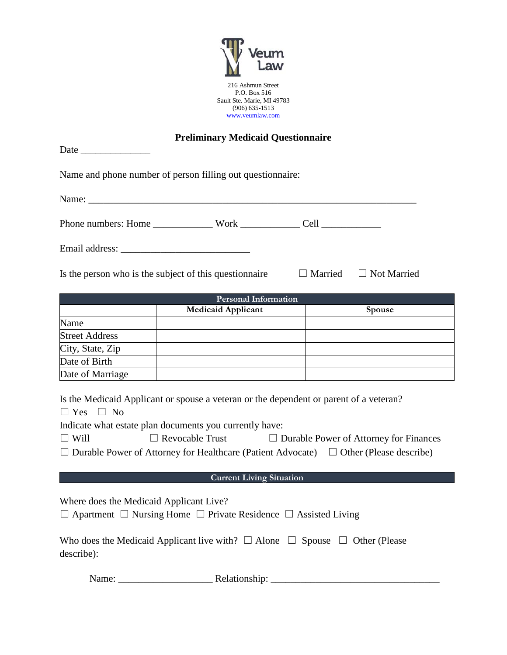

## **Preliminary Medicaid Questionnaire**

| Date                  | т генишин у тисансана фасвионнан с                                                                                                                                                                                             |                                               |
|-----------------------|--------------------------------------------------------------------------------------------------------------------------------------------------------------------------------------------------------------------------------|-----------------------------------------------|
|                       | Name and phone number of person filling out questionnaire:                                                                                                                                                                     |                                               |
|                       | Name: Name Commission of the Commission of the Commission of the Commission of the Commission of the Commission of the Commission of the Commission of the Commission of the Commission of the Commission of the Commission of |                                               |
|                       |                                                                                                                                                                                                                                |                                               |
|                       |                                                                                                                                                                                                                                |                                               |
|                       | Is the person who is the subject of this question aire                                                                                                                                                                         | $\Box$ Married $\Box$ Not Married             |
|                       | <b>Personal Information</b>                                                                                                                                                                                                    |                                               |
|                       | Medicaid Applicant                                                                                                                                                                                                             | Spouse                                        |
| Name                  |                                                                                                                                                                                                                                |                                               |
| <b>Street Address</b> |                                                                                                                                                                                                                                |                                               |
| City, State, Zip      |                                                                                                                                                                                                                                |                                               |
| Date of Birth         |                                                                                                                                                                                                                                |                                               |
| Date of Marriage      |                                                                                                                                                                                                                                |                                               |
| $\Box$ Yes $\Box$ No  | Is the Medicaid Applicant or spouse a veteran or the dependent or parent of a veteran?<br>Indicate what estate plan documents you currently have:                                                                              |                                               |
| $\Box$ Will           | $\Box$ Revocable Trust                                                                                                                                                                                                         | $\Box$ Durable Power of Attorney for Finances |
|                       | $\Box$ Durable Power of Attorney for Healthcare (Patient Advocate) $\Box$ Other (Please describe)                                                                                                                              |                                               |
|                       | <b>Current Living Situation</b>                                                                                                                                                                                                |                                               |
| .                     |                                                                                                                                                                                                                                |                                               |

Where does the Medicaid Applicant Live?

|  | $\Box$ Apartment $\Box$ Nursing Home $\Box$ Private Residence $\Box$ Assisted Living |
|--|--------------------------------------------------------------------------------------|
|--|--------------------------------------------------------------------------------------|

| Who does the Medicaid Applicant live with? $\Box$ Alone $\Box$ Spouse $\Box$ Other (Please |  |
|--------------------------------------------------------------------------------------------|--|
| describe):                                                                                 |  |

Name: \_\_\_\_\_\_\_\_\_\_\_\_\_\_\_\_\_\_\_ Relationship: \_\_\_\_\_\_\_\_\_\_\_\_\_\_\_\_\_\_\_\_\_\_\_\_\_\_\_\_\_\_\_\_\_\_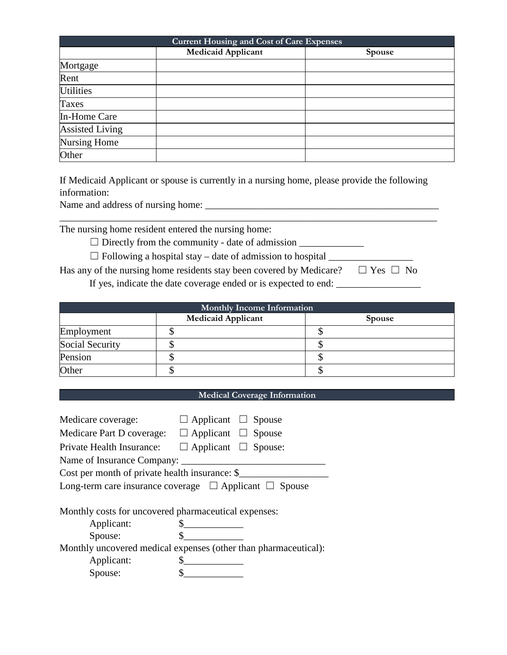| <b>Current Housing and Cost of Care Expenses</b> |                           |        |  |
|--------------------------------------------------|---------------------------|--------|--|
|                                                  | <b>Medicaid Applicant</b> | Spouse |  |
| Mortgage                                         |                           |        |  |
| Rent                                             |                           |        |  |
| <b>Utilities</b>                                 |                           |        |  |
| Taxes                                            |                           |        |  |
| In-Home Care                                     |                           |        |  |
| <b>Assisted Living</b>                           |                           |        |  |
| Nursing Home                                     |                           |        |  |
| Other                                            |                           |        |  |

If Medicaid Applicant or spouse is currently in a nursing home, please provide the following information:

\_\_\_\_\_\_\_\_\_\_\_\_\_\_\_\_\_\_\_\_\_\_\_\_\_\_\_\_\_\_\_\_\_\_\_\_\_\_\_\_\_\_\_\_\_\_\_\_\_\_\_\_\_\_\_\_\_\_\_\_\_\_\_\_\_\_\_\_\_\_\_\_\_\_\_\_

Name and address of nursing home:

The nursing home resident entered the nursing home:

 $\Box$  Directly from the community - date of admission  $\Box$ 

 $\Box$  Following a hospital stay – date of admission to hospital  $\Box$ 

Has any of the nursing home residents stay been covered by Medicare?  $□$  Yes  $□$  No If yes, indicate the date coverage ended or is expected to end: \_\_\_\_\_\_\_\_\_\_\_\_\_\_\_\_\_

| <b>Monthly Income Information</b> |                           |               |  |
|-----------------------------------|---------------------------|---------------|--|
|                                   | <b>Medicaid Applicant</b> | <b>Spouse</b> |  |
| Employment                        |                           |               |  |
| Social Security                   |                           |               |  |
| Pension                           |                           |               |  |
| Other                             |                           |               |  |

## **Medical Coverage Information**

| Medicare coverage:                                               | $\Box$ Applicant $\Box$ Spouse  |  |
|------------------------------------------------------------------|---------------------------------|--|
| Medicare Part D coverage:                                        | $\Box$ Applicant $\Box$ Spouse  |  |
| Private Health Insurance:                                        | $\Box$ Applicant $\Box$ Spouse: |  |
| Name of Insurance Company:                                       |                                 |  |
| Cost per month of private health insurance: \$                   |                                 |  |
| Long-term care insurance coverage $\Box$ Applicant $\Box$ Spouse |                                 |  |
|                                                                  |                                 |  |
| Monthly costs for uncovered pharmaceutical expenses:             |                                 |  |
| Applicant:                                                       |                                 |  |
| Spouse:                                                          |                                 |  |
| Monthly uncovered medical expenses (other than pharmaceutical):  |                                 |  |
| Applicant:                                                       |                                 |  |
| Spouse:                                                          |                                 |  |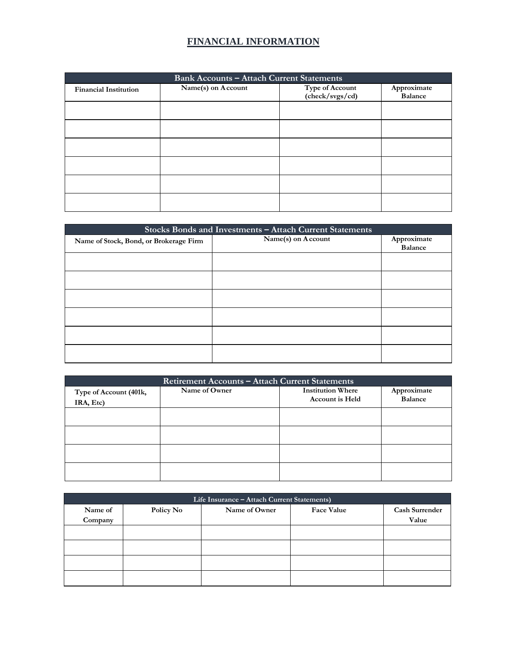## **FINANCIAL INFORMATION**

| <b>Bank Accounts - Attach Current Statements</b> |                    |                                    |                               |
|--------------------------------------------------|--------------------|------------------------------------|-------------------------------|
| <b>Financial Institution</b>                     | Name(s) on Account | Type of Account<br>(check/svgs/cd) | Approximate<br><b>Balance</b> |
|                                                  |                    |                                    |                               |
|                                                  |                    |                                    |                               |
|                                                  |                    |                                    |                               |
|                                                  |                    |                                    |                               |
|                                                  |                    |                                    |                               |
|                                                  |                    |                                    |                               |

| Stocks Bonds and Investments - Attach Current Statements |                    |                |  |
|----------------------------------------------------------|--------------------|----------------|--|
| Name of Stock, Bond, or Brokerage Firm                   | Name(s) on Account | Approximate    |  |
|                                                          |                    | <b>Balance</b> |  |
|                                                          |                    |                |  |
|                                                          |                    |                |  |
|                                                          |                    |                |  |
|                                                          |                    |                |  |
|                                                          |                    |                |  |
|                                                          |                    |                |  |

| Retirement Accounts - Attach Current Statements |               |                          |                |  |
|-------------------------------------------------|---------------|--------------------------|----------------|--|
| Type of Account (401k,                          | Name of Owner | <b>Institution Where</b> | Approximate    |  |
| IRA, Etc)                                       |               | <b>Account is Held</b>   | <b>Balance</b> |  |
|                                                 |               |                          |                |  |
|                                                 |               |                          |                |  |
|                                                 |               |                          |                |  |
|                                                 |               |                          |                |  |
|                                                 |               |                          |                |  |
|                                                 |               |                          |                |  |
|                                                 |               |                          |                |  |
|                                                 |               |                          |                |  |

| Life Insurance - Attach Current Statements) |           |               |            |                       |
|---------------------------------------------|-----------|---------------|------------|-----------------------|
| Name of                                     | Policy No | Name of Owner | Face Value | <b>Cash Surrender</b> |
| Company                                     |           |               |            | Value                 |
|                                             |           |               |            |                       |
|                                             |           |               |            |                       |
|                                             |           |               |            |                       |
|                                             |           |               |            |                       |
|                                             |           |               |            |                       |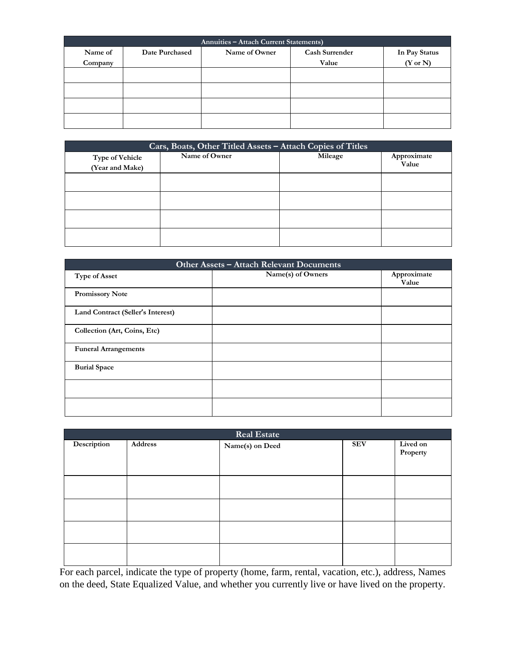| Annuities - Attach Current Statements) |                |               |                       |                     |
|----------------------------------------|----------------|---------------|-----------------------|---------------------|
| Name of                                | Date Purchased | Name of Owner | <b>Cash Surrender</b> | In Pay Status       |
| Company                                |                |               | Value                 | $(Y \text{ or } N)$ |
|                                        |                |               |                       |                     |
|                                        |                |               |                       |                     |
|                                        |                |               |                       |                     |
|                                        |                |               |                       |                     |

| Cars, Boats, Other Titled Assets - Attach Copies of Titles |               |         |             |  |
|------------------------------------------------------------|---------------|---------|-------------|--|
| <b>Type of Vehicle</b>                                     | Name of Owner | Mileage | Approximate |  |
| (Year and Make)                                            |               |         | Value       |  |
|                                                            |               |         |             |  |
|                                                            |               |         |             |  |
|                                                            |               |         |             |  |
|                                                            |               |         |             |  |
|                                                            |               |         |             |  |
|                                                            |               |         |             |  |
|                                                            |               |         |             |  |
|                                                            |               |         |             |  |

| Other Assets - Attach Relevant Documents |                   |                      |  |
|------------------------------------------|-------------------|----------------------|--|
| <b>Type of Asset</b>                     | Name(s) of Owners | Approximate<br>Value |  |
| <b>Promissory Note</b>                   |                   |                      |  |
| Land Contract (Seller's Interest)        |                   |                      |  |
| Collection (Art, Coins, Etc)             |                   |                      |  |
| <b>Funeral Arrangements</b>              |                   |                      |  |
| <b>Burial Space</b>                      |                   |                      |  |
|                                          |                   |                      |  |
|                                          |                   |                      |  |

| Real Estate |         |                 |            |                      |
|-------------|---------|-----------------|------------|----------------------|
| Description | Address | Name(s) on Deed | <b>SEV</b> | Lived on<br>Property |
|             |         |                 |            |                      |
|             |         |                 |            |                      |
|             |         |                 |            |                      |
|             |         |                 |            |                      |

For each parcel, indicate the type of property (home, farm, rental, vacation, etc.), address, Names on the deed, State Equalized Value, and whether you currently live or have lived on the property.